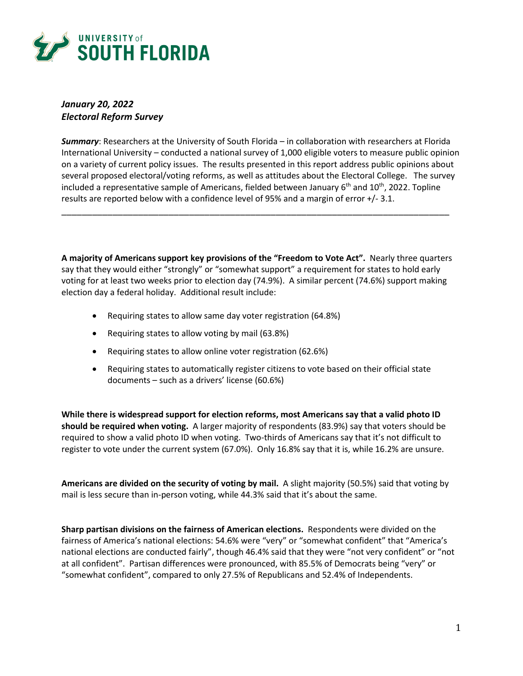

# *January 20, 2022 Electoral Reform Survey*

*Summary*: Researchers at the University of South Florida – in collaboration with researchers at Florida International University – conducted a national survey of 1,000 eligible voters to measure public opinion on a variety of current policy issues. The results presented in this report address public opinions about several proposed electoral/voting reforms, as well as attitudes about the Electoral College. The survey included a representative sample of Americans, fielded between January 6<sup>th</sup> and 10<sup>th</sup>, 2022. Topline results are reported below with a confidence level of 95% and a margin of error +/- 3.1.

\_\_\_\_\_\_\_\_\_\_\_\_\_\_\_\_\_\_\_\_\_\_\_\_\_\_\_\_\_\_\_\_\_\_\_\_\_\_\_\_\_\_\_\_\_\_\_\_\_\_\_\_\_\_\_\_\_\_\_\_\_\_\_\_\_\_\_\_\_\_\_\_\_\_\_\_

**A majority of Americans support key provisions of the "Freedom to Vote Act".** Nearly three quarters say that they would either "strongly" or "somewhat support" a requirement for states to hold early voting for at least two weeks prior to election day (74.9%). A similar percent (74.6%) support making election day a federal holiday. Additional result include:

- Requiring states to allow same day voter registration (64.8%)
- Requiring states to allow voting by mail (63.8%)
- Requiring states to allow online voter registration (62.6%)
- Requiring states to automatically register citizens to vote based on their official state documents – such as a drivers' license (60.6%)

**While there is widespread support for election reforms, most Americans say that a valid photo ID should be required when voting.** A larger majority of respondents (83.9%) say that voters should be required to show a valid photo ID when voting. Two-thirds of Americans say that it's not difficult to register to vote under the current system (67.0%). Only 16.8% say that it is, while 16.2% are unsure.

**Americans are divided on the security of voting by mail.** A slight majority (50.5%) said that voting by mail is less secure than in-person voting, while 44.3% said that it's about the same.

**Sharp partisan divisions on the fairness of American elections.** Respondents were divided on the fairness of America's national elections: 54.6% were "very" or "somewhat confident" that "America's national elections are conducted fairly", though 46.4% said that they were "not very confident" or "not at all confident". Partisan differences were pronounced, with 85.5% of Democrats being "very" or "somewhat confident", compared to only 27.5% of Republicans and 52.4% of Independents.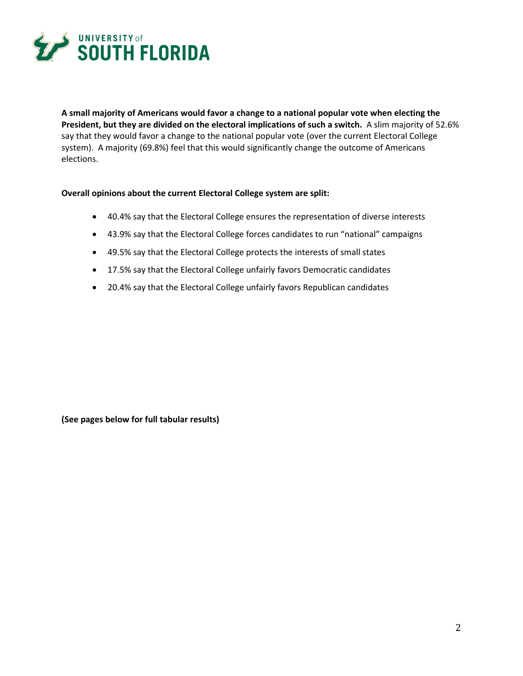

**A small majority of Americans would favor a change to a national popular vote when electing the President, but they are divided on the electoral implications of such a switch.** A slim majority of 52.6% say that they would favor a change to the national popular vote (over the current Electoral College system). A majority (69.8%) feel that this would significantly change the outcome of Americans elections.

#### **Overall opinions about the current Electoral College system are split:**

- 40.4% say that the Electoral College ensures the representation of diverse interests
- 43.9% say that the Electoral College forces candidates to run "national" campaigns
- 49.5% say that the Electoral College protects the interests of small states
- 17.5% say that the Electoral College unfairly favors Democratic candidates
- 20.4% say that the Electoral College unfairly favors Republican candidates

**(See pages below for full tabular results)**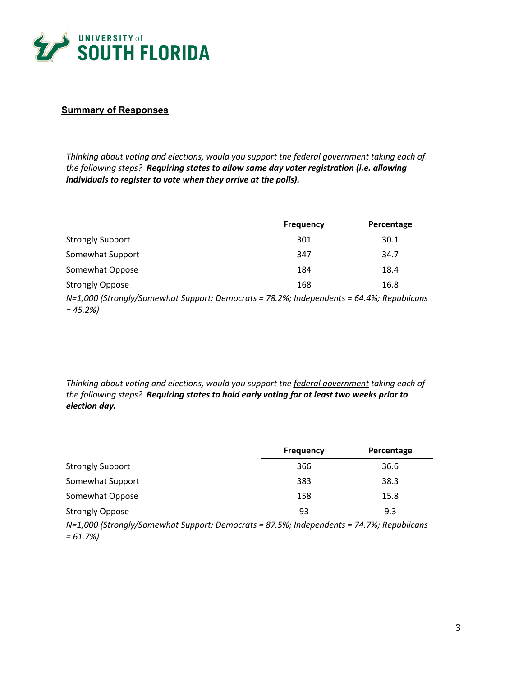

## **Summary of Responses**

*Thinking about voting and elections, would you support the federal government taking each of the following steps? Requiring states to allow same day voter registration (i.e. allowing individuals to register to vote when they arrive at the polls).*

|                         | <b>Frequency</b> | Percentage |
|-------------------------|------------------|------------|
| <b>Strongly Support</b> | 301              | 30.1       |
| Somewhat Support        | 347              | 34.7       |
| Somewhat Oppose         | 184              | 18.4       |
| <b>Strongly Oppose</b>  | 168              | 16.8       |

*N=1,000 (Strongly/Somewhat Support: Democrats = 78.2%; Independents = 64.4%; Republicans = 45.2%)*

*Thinking about voting and elections, would you support the federal government taking each of the following steps? Requiring states to hold early voting for at least two weeks prior to election day.*

|                         | <b>Frequency</b> | Percentage |
|-------------------------|------------------|------------|
| <b>Strongly Support</b> | 366              | 36.6       |
| Somewhat Support        | 383              | 38.3       |
| Somewhat Oppose         | 158              | 15.8       |
| <b>Strongly Oppose</b>  | 93               | 9.3        |

*N=1,000 (Strongly/Somewhat Support: Democrats = 87.5%; Independents = 74.7%; Republicans = 61.7%)*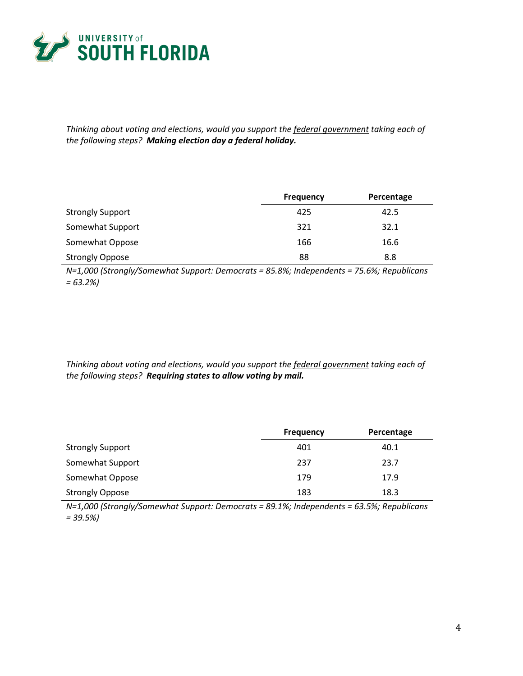

*Thinking about voting and elections, would you support the federal government taking each of the following steps? Making election day a federal holiday.*

|                         | <b>Frequency</b> | Percentage |
|-------------------------|------------------|------------|
| <b>Strongly Support</b> | 425              | 42.5       |
| Somewhat Support        | 321              | 32.1       |
| Somewhat Oppose         | 166              | 16.6       |
| <b>Strongly Oppose</b>  | 88               | 8.8        |

*N=1,000 (Strongly/Somewhat Support: Democrats = 85.8%; Independents = 75.6%; Republicans = 63.2%)*

*Thinking about voting and elections, would you support the federal government taking each of the following steps? Requiring states to allow voting by mail.*

|                         | <b>Frequency</b> | Percentage |
|-------------------------|------------------|------------|
| <b>Strongly Support</b> | 401              | 40.1       |
| Somewhat Support        | 237              | 23.7       |
| Somewhat Oppose         | 179              | 17.9       |
| <b>Strongly Oppose</b>  | 183              | 18.3       |

*N=1,000 (Strongly/Somewhat Support: Democrats = 89.1%; Independents = 63.5%; Republicans = 39.5%)*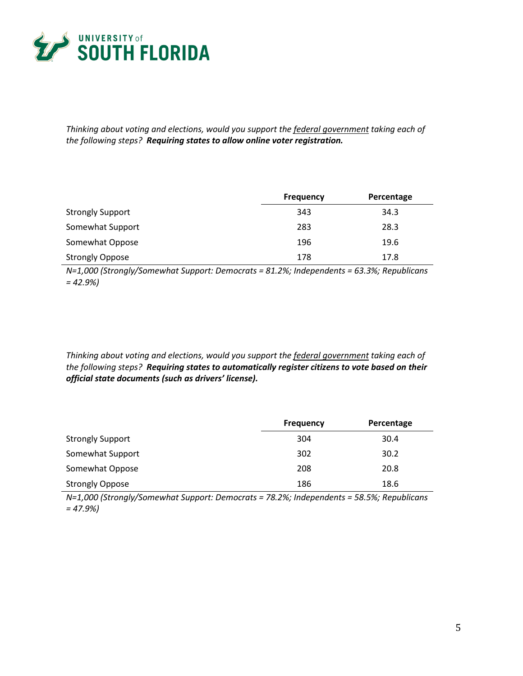

*Thinking about voting and elections, would you support the federal government taking each of the following steps? Requiring states to allow online voter registration.*

|                         | <b>Frequency</b> | Percentage |
|-------------------------|------------------|------------|
| <b>Strongly Support</b> | 343              | 34.3       |
| Somewhat Support        | 283              | 28.3       |
| Somewhat Oppose         | 196              | 19.6       |
| <b>Strongly Oppose</b>  | 178              | 17.8       |

*N=1,000 (Strongly/Somewhat Support: Democrats = 81.2%; Independents = 63.3%; Republicans = 42.9%)*

*Thinking about voting and elections, would you support the federal government taking each of the following steps? Requiring states to automatically register citizens to vote based on their official state documents (such as drivers' license).*

|                         | <b>Frequency</b> | Percentage |
|-------------------------|------------------|------------|
| <b>Strongly Support</b> | 304              | 30.4       |
| Somewhat Support        | 302              | 30.2       |
| Somewhat Oppose         | 208              | 20.8       |
| <b>Strongly Oppose</b>  | 186              | 18.6       |

*N=1,000 (Strongly/Somewhat Support: Democrats = 78.2%; Independents = 58.5%; Republicans = 47.9%)*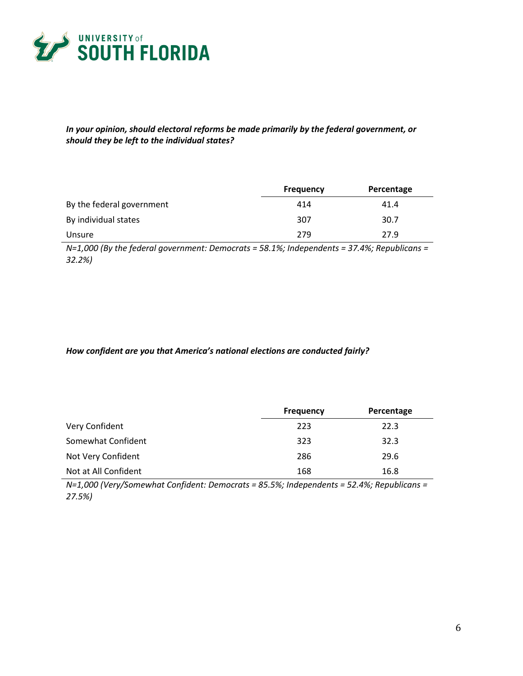

*In your opinion, should electoral reforms be made primarily by the federal government, or should they be left to the individual states?*

|                           | <b>Frequency</b> | Percentage |
|---------------------------|------------------|------------|
| By the federal government | 414              | 41.4       |
| By individual states      | 307              | 30.7       |
| Unsure                    | 279              | 27.9       |

*N=1,000 (By the federal government: Democrats = 58.1%; Independents = 37.4%; Republicans = 32.2%)*

#### *How confident are you that America's national elections are conducted fairly?*

|                      | <b>Frequency</b> | Percentage |
|----------------------|------------------|------------|
| Very Confident       | 223              | 22.3       |
| Somewhat Confident   | 323              | 32.3       |
| Not Very Confident   | 286              | 29.6       |
| Not at All Confident | 168              | 16.8       |

*N=1,000 (Very/Somewhat Confident: Democrats = 85.5%; Independents = 52.4%; Republicans = 27.5%)*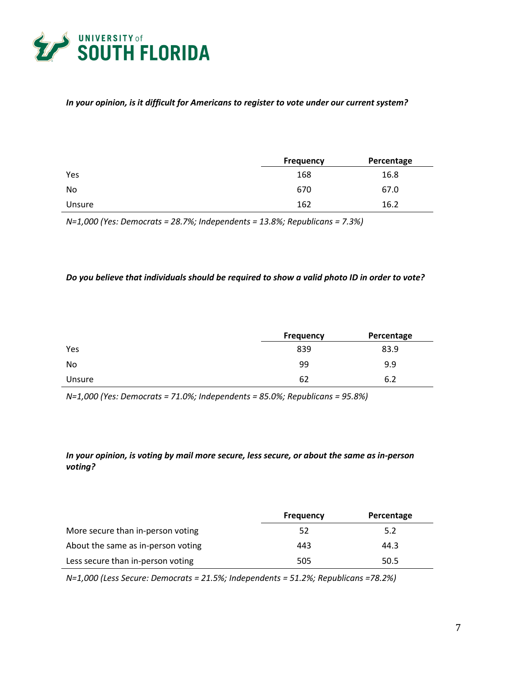

#### *In your opinion, is it difficult for Americans to register to vote under our current system?*

|        | <b>Frequency</b> | Percentage |
|--------|------------------|------------|
| Yes    | 168              | 16.8       |
| No     | 670              | 67.0       |
| Unsure | 162              | 16.2       |

*N=1,000 (Yes: Democrats = 28.7%; Independents = 13.8%; Republicans = 7.3%)*

#### *Do you believe that individuals should be required to show a valid photo ID in order to vote?*

|        | <b>Frequency</b> | Percentage |
|--------|------------------|------------|
| Yes    | 839              | 83.9       |
| No     | 99               | 9.9        |
| Unsure | 62               | 6.2        |

*N=1,000 (Yes: Democrats = 71.0%; Independents = 85.0%; Republicans = 95.8%)*

### *In your opinion, is voting by mail more secure, less secure, or about the same as in-person voting?*

|                                    | <b>Frequency</b> | Percentage |
|------------------------------------|------------------|------------|
| More secure than in-person voting  | 52               | 5.2        |
| About the same as in-person voting | 443              | 44.3       |
| Less secure than in-person voting  | 505              | 50.5       |

*N=1,000 (Less Secure: Democrats = 21.5%; Independents = 51.2%; Republicans =78.2%)*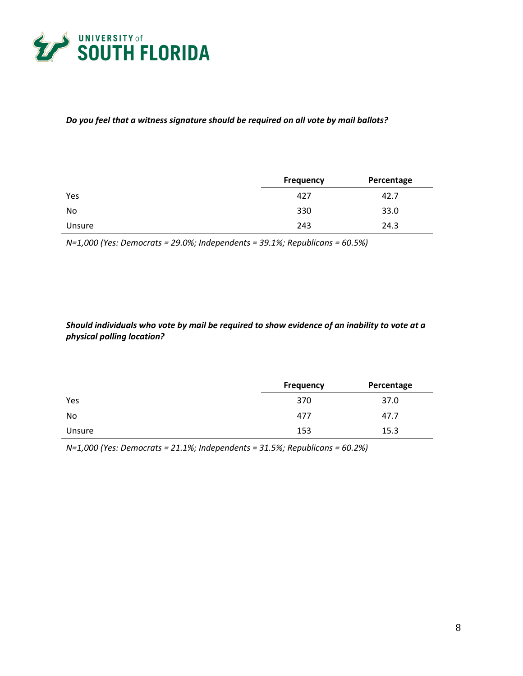

#### *Do you feel that a witness signature should be required on all vote by mail ballots?*

|        | <b>Frequency</b> | Percentage |
|--------|------------------|------------|
| Yes    | 427              | 42.7       |
| No     | 330              | 33.0       |
| Unsure | 243              | 24.3       |

*N=1,000 (Yes: Democrats = 29.0%; Independents = 39.1%; Republicans = 60.5%)*

*Should individuals who vote by mail be required to show evidence of an inability to vote at a physical polling location?*

|        | <b>Frequency</b> | Percentage |
|--------|------------------|------------|
| Yes    | 370              | 37.0       |
| No     | 477              | 47.7       |
| Unsure | 153              | 15.3       |

*N=1,000 (Yes: Democrats = 21.1%; Independents = 31.5%; Republicans = 60.2%)*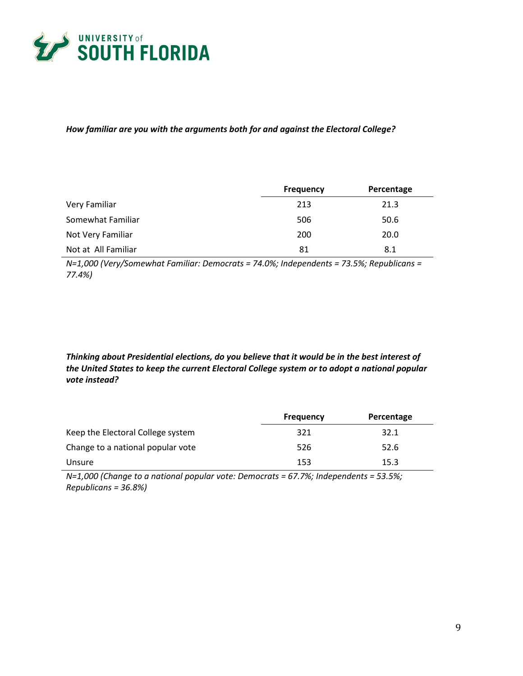

#### *How familiar are you with the arguments both for and against the Electoral College?*

|                     | <b>Frequency</b> | Percentage |
|---------------------|------------------|------------|
| Very Familiar       | 213              | 21.3       |
| Somewhat Familiar   | 506              | 50.6       |
| Not Very Familiar   | 200              | 20.0       |
| Not at All Familiar | 81               | 8.1        |

*N=1,000 (Very/Somewhat Familiar: Democrats = 74.0%; Independents = 73.5%; Republicans = 77.4%)*

# *Thinking about Presidential elections, do you believe that it would be in the best interest of the United States to keep the current Electoral College system or to adopt a national popular vote instead?*

|                                   | <b>Frequency</b> | Percentage |
|-----------------------------------|------------------|------------|
| Keep the Electoral College system | 321              | 32.1       |
| Change to a national popular vote | 526              | 52.6       |
| Unsure                            | 153              | 15.3       |

*N=1,000 (Change to a national popular vote: Democrats = 67.7%; Independents = 53.5%; Republicans = 36.8%)*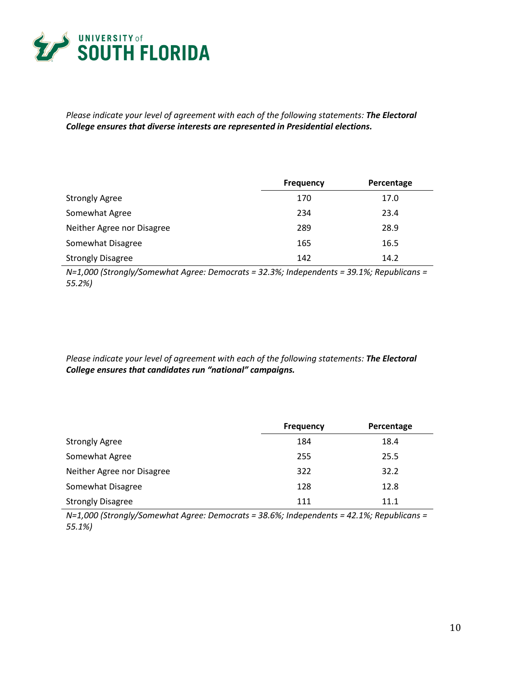

*Please indicate your level of agreement with each of the following statements: The Electoral College ensures that diverse interests are represented in Presidential elections.*

|                            | <b>Frequency</b> | Percentage |
|----------------------------|------------------|------------|
| <b>Strongly Agree</b>      | 170              | 17.0       |
| Somewhat Agree             | 234              | 23.4       |
| Neither Agree nor Disagree | 289              | 28.9       |
| Somewhat Disagree          | 165              | 16.5       |
| <b>Strongly Disagree</b>   | 142              | 14.2       |

*N=1,000 (Strongly/Somewhat Agree: Democrats = 32.3%; Independents = 39.1%; Republicans = 55.2%)*

*Please indicate your level of agreement with each of the following statements: The Electoral College ensures that candidates run "national" campaigns.*

|                            | <b>Frequency</b> | Percentage |
|----------------------------|------------------|------------|
| <b>Strongly Agree</b>      | 184              | 18.4       |
| Somewhat Agree             | 255              | 25.5       |
| Neither Agree nor Disagree | 322              | 32.2       |
| Somewhat Disagree          | 128              | 12.8       |
| <b>Strongly Disagree</b>   | 111              | 11.1       |

*N=1,000 (Strongly/Somewhat Agree: Democrats = 38.6%; Independents = 42.1%; Republicans = 55.1%)*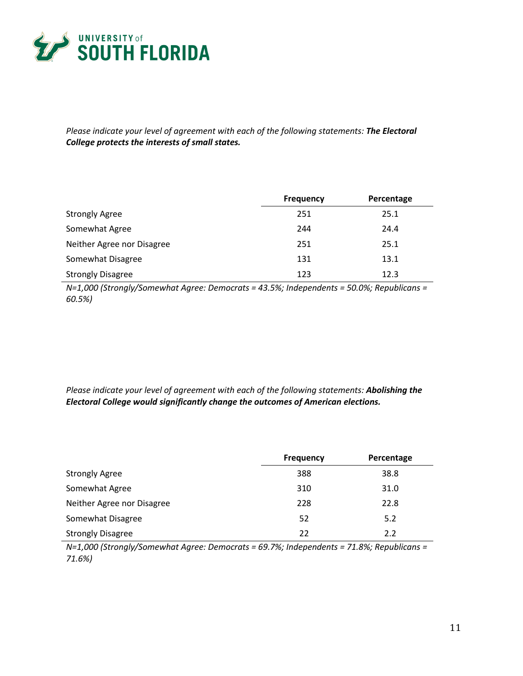

*Please indicate your level of agreement with each of the following statements: The Electoral College protects the interests of small states.*

|                            | <b>Frequency</b> | Percentage |
|----------------------------|------------------|------------|
| <b>Strongly Agree</b>      | 251              | 25.1       |
| Somewhat Agree             | 244              | 24.4       |
| Neither Agree nor Disagree | 251              | 25.1       |
| Somewhat Disagree          | 131              | 13.1       |
| <b>Strongly Disagree</b>   | 123              | 12.3       |

*N=1,000 (Strongly/Somewhat Agree: Democrats = 43.5%; Independents = 50.0%; Republicans = 60.5%)*

*Please indicate your level of agreement with each of the following statements: Abolishing the Electoral College would significantly change the outcomes of American elections.*

|                            | <b>Frequency</b> | Percentage |
|----------------------------|------------------|------------|
| <b>Strongly Agree</b>      | 388              | 38.8       |
| Somewhat Agree             | 310              | 31.0       |
| Neither Agree nor Disagree | 228              | 22.8       |
| Somewhat Disagree          | 52               | 5.2        |
| <b>Strongly Disagree</b>   | 22               | 2.2        |

*N=1,000 (Strongly/Somewhat Agree: Democrats = 69.7%; Independents = 71.8%; Republicans = 71.6%)*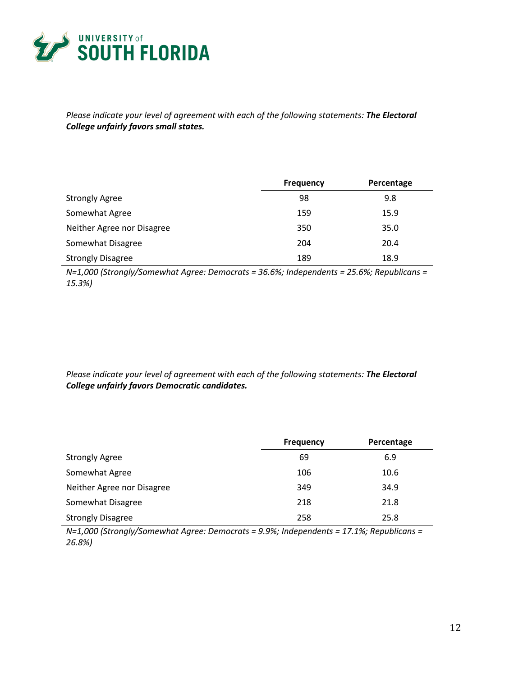

*Please indicate your level of agreement with each of the following statements: The Electoral College unfairly favors small states.*

|                            | <b>Frequency</b> | Percentage |
|----------------------------|------------------|------------|
| <b>Strongly Agree</b>      | 98               | 9.8        |
| Somewhat Agree             | 159              | 15.9       |
| Neither Agree nor Disagree | 350              | 35.0       |
| Somewhat Disagree          | 204              | 20.4       |
| <b>Strongly Disagree</b>   | 189              | 18.9       |

*N=1,000 (Strongly/Somewhat Agree: Democrats = 36.6%; Independents = 25.6%; Republicans = 15.3%)*

*Please indicate your level of agreement with each of the following statements: The Electoral College unfairly favors Democratic candidates.*

|                            | <b>Frequency</b> | Percentage |
|----------------------------|------------------|------------|
| <b>Strongly Agree</b>      | 69               | 6.9        |
| Somewhat Agree             | 106              | 10.6       |
| Neither Agree nor Disagree | 349              | 34.9       |
| Somewhat Disagree          | 218              | 21.8       |
| <b>Strongly Disagree</b>   | 258              | 25.8       |

*N=1,000 (Strongly/Somewhat Agree: Democrats = 9.9%; Independents = 17.1%; Republicans = 26.8%)*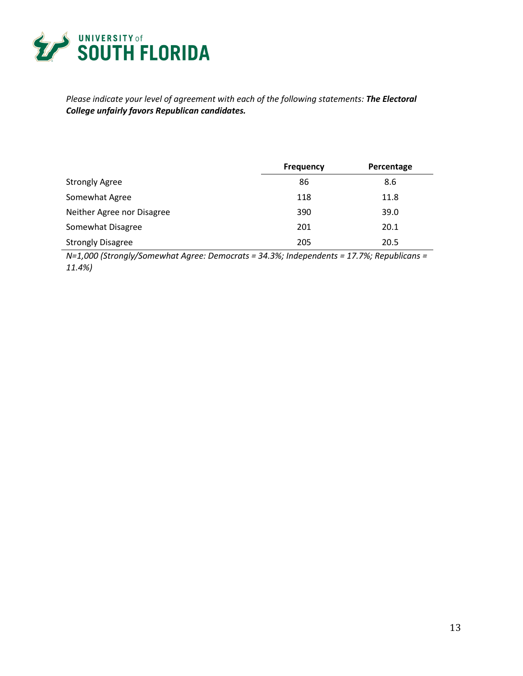

# *Please indicate your level of agreement with each of the following statements: The Electoral College unfairly favors Republican candidates.*

|                            | <b>Frequency</b> | Percentage |
|----------------------------|------------------|------------|
| <b>Strongly Agree</b>      | 86               | 8.6        |
| Somewhat Agree             | 118              | 11.8       |
| Neither Agree nor Disagree | 390              | 39.0       |
| Somewhat Disagree          | 201              | 20.1       |
| <b>Strongly Disagree</b>   | 205              | 20.5       |

*N=1,000 (Strongly/Somewhat Agree: Democrats = 34.3%; Independents = 17.7%; Republicans = 11.4%)*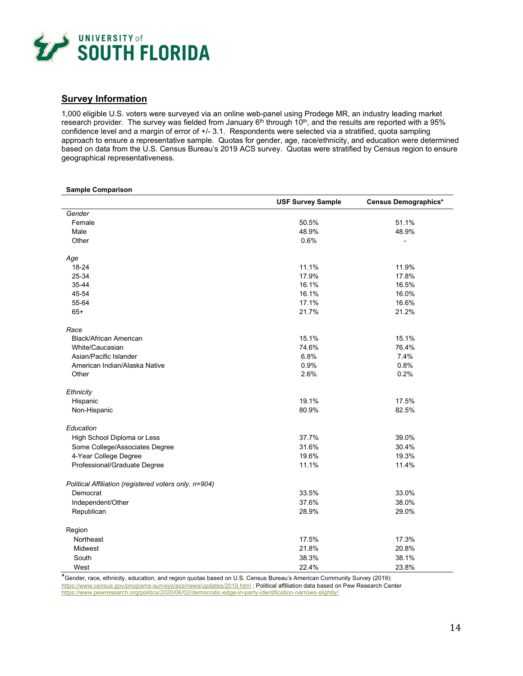

#### **Survey Information**

1,000 eligible U.S. voters were surveyed via an online web-panel using Prodege MR, an industry leading market research provider. The survey was fielded from January 6<sup>th</sup> through 10<sup>th</sup>, and the results are reported with a 95% confidence level and a margin of error of +/- 3.1. Respondents were selected via a stratified, quota sampling approach to ensure a representative sample. Quotas for gender, age, race/ethnicity, and education were determined based on data from the U.S. Census Bureau's 2019 ACS survey. Quotas were stratified by Census region to ensure geographical representativeness.

#### **Sample Comparison**

|                                                       | <b>USF Survey Sample</b> | Census Demographics* |
|-------------------------------------------------------|--------------------------|----------------------|
| Gender                                                |                          |                      |
| Female                                                | 50.5%                    | 51.1%                |
| Male                                                  | 48.9%                    | 48.9%                |
| Other                                                 | 0.6%                     |                      |
| Age                                                   |                          |                      |
| 18-24                                                 | 11.1%                    | 11.9%                |
| 25-34                                                 | 17.9%                    | 17.8%                |
| 35-44                                                 | 16.1%                    | 16.5%                |
| 45-54                                                 | 16.1%                    | 16.0%                |
| 55-64                                                 | 17.1%                    | 16.6%                |
| $65+$                                                 | 21.7%                    | 21.2%                |
| Race                                                  |                          |                      |
| <b>Black/African American</b>                         | 15.1%                    | 15.1%                |
| White/Caucasian                                       | 74.6%                    | 76.4%                |
| Asian/Pacific Islander                                | 6.8%                     | 7.4%                 |
| American Indian/Alaska Native                         | 0.9%                     | 0.8%                 |
| Other                                                 | 2.6%                     | 0.2%                 |
| Ethnicity                                             |                          |                      |
| Hispanic                                              | 19.1%                    | 17.5%                |
| Non-Hispanic                                          | 80.9%                    | 82.5%                |
| Education                                             |                          |                      |
| High School Diploma or Less                           | 37.7%                    | 39.0%                |
| Some College/Associates Degree                        | 31.6%                    | 30.4%                |
| 4-Year College Degree                                 | 19.6%                    | 19.3%                |
| Professional/Graduate Degree                          | 11.1%                    | 11.4%                |
| Political Affiliation (registered voters only, n=904) |                          |                      |
| Democrat                                              | 33.5%                    | 33.0%                |
| Independent/Other                                     | 37.6%                    | 38.0%                |
| Republican                                            | 28.9%                    | 29.0%                |
| Region                                                |                          |                      |
| Northeast                                             | 17.5%                    | 17.3%                |
| <b>Midwest</b>                                        | 21.8%                    | 20.8%                |
| South                                                 | 38.3%                    | 38.1%                |
| West                                                  | 22.4%                    | 23.8%                |

\*Gender, race, ethnicity, education, and region quotas based on U.S. Census Bureau's American Community Survey (2019): <https://www.census.gov/programs-surveys/acs/news/updates/2019.html> ; Political affiliation data based on Pew Research Center